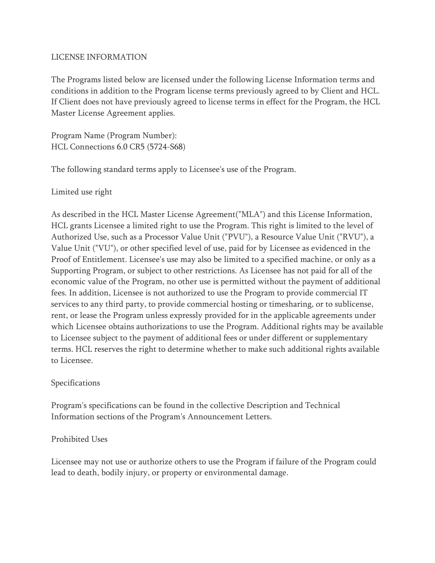#### LICENSE INFORMATION

The Programs listed below are licensed under the following License Information terms and conditions in addition to the Program license terms previously agreed to by Client and HCL. If Client does not have previously agreed to license terms in effect for the Program, the HCL Master License Agreement applies.

Program Name (Program Number): HCL Connections 6.0 CR5 (5724-S68)

The following standard terms apply to Licensee's use of the Program.

## Limited use right

As described in the HCL Master License Agreement("MLA") and this License Information, HCL grants Licensee a limited right to use the Program. This right is limited to the level of Authorized Use, such as a Processor Value Unit ("PVU"), a Resource Value Unit ("RVU"), a Value Unit ("VU"), or other specified level of use, paid for by Licensee as evidenced in the Proof of Entitlement. Licensee's use may also be limited to a specified machine, or only as a Supporting Program, or subject to other restrictions. As Licensee has not paid for all of the economic value of the Program, no other use is permitted without the payment of additional fees. In addition, Licensee is not authorized to use the Program to provide commercial IT services to any third party, to provide commercial hosting or timesharing, or to sublicense, rent, or lease the Program unless expressly provided for in the applicable agreements under which Licensee obtains authorizations to use the Program. Additional rights may be available to Licensee subject to the payment of additional fees or under different or supplementary terms. HCL reserves the right to determine whether to make such additional rights available to Licensee.

#### Specifications

Program's specifications can be found in the collective Description and Technical Information sections of the Program's Announcement Letters.

# Prohibited Uses

Licensee may not use or authorize others to use the Program if failure of the Program could lead to death, bodily injury, or property or environmental damage.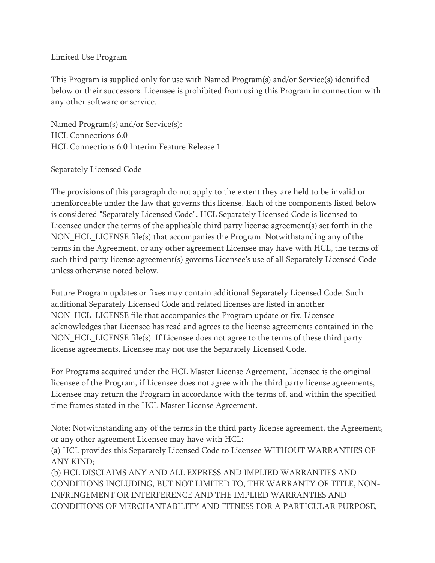### Limited Use Program

This Program is supplied only for use with Named Program(s) and/or Service(s) identified below or their successors. Licensee is prohibited from using this Program in connection with any other software or service.

Named Program(s) and/or Service(s): HCL Connections 6.0 HCL Connections 6.0 Interim Feature Release 1

## Separately Licensed Code

The provisions of this paragraph do not apply to the extent they are held to be invalid or unenforceable under the law that governs this license. Each of the components listed below is considered "Separately Licensed Code". HCL Separately Licensed Code is licensed to Licensee under the terms of the applicable third party license agreement(s) set forth in the NON HCL LICENSE file(s) that accompanies the Program. Notwithstanding any of the terms in the Agreement, or any other agreement Licensee may have with HCL, the terms of such third party license agreement(s) governs Licensee's use of all Separately Licensed Code unless otherwise noted below.

Future Program updates or fixes may contain additional Separately Licensed Code. Such additional Separately Licensed Code and related licenses are listed in another NON\_HCL\_LICENSE file that accompanies the Program update or fix. Licensee acknowledges that Licensee has read and agrees to the license agreements contained in the NON\_HCL\_LICENSE file(s). If Licensee does not agree to the terms of these third party license agreements, Licensee may not use the Separately Licensed Code.

For Programs acquired under the HCL Master License Agreement, Licensee is the original licensee of the Program, if Licensee does not agree with the third party license agreements, Licensee may return the Program in accordance with the terms of, and within the specified time frames stated in the HCL Master License Agreement.

Note: Notwithstanding any of the terms in the third party license agreement, the Agreement, or any other agreement Licensee may have with HCL:

(a) HCL provides this Separately Licensed Code to Licensee WITHOUT WARRANTIES OF ANY KIND;

(b) HCL DISCLAIMS ANY AND ALL EXPRESS AND IMPLIED WARRANTIES AND CONDITIONS INCLUDING, BUT NOT LIMITED TO, THE WARRANTY OF TITLE, NON-INFRINGEMENT OR INTERFERENCE AND THE IMPLIED WARRANTIES AND CONDITIONS OF MERCHANTABILITY AND FITNESS FOR A PARTICULAR PURPOSE,